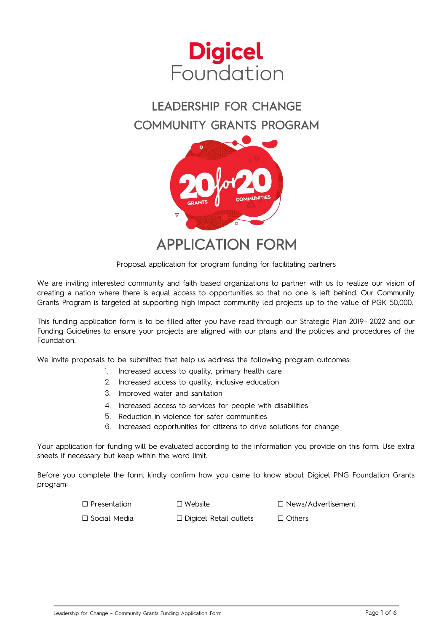

# LEADERSHIP FOR CHANGE COMMUNITY GRANTS PROGRAM



APPLICATION FORM

Proposal application for program funding for facilitating partners

We are inviting interested community and faith based organizations to partner with us to realize our vision of creating a nation where there is equal access to opportunities so that no one is left behind. Our Community Grants Program is targeted at supporting high impact community led projects up to the value of PGK 50,000.

This funding application form is to be filled after you have read through our Strategic Plan 2019- 2022 and our Funding Guidelines to ensure your projects are aligned with our plans and the policies and procedures of the Foundation.

We invite proposals to be submitted that help us address the following program outcomes:

- 1. Increased access to quality, primary health care
- 2. Increased access to quality, inclusive education
- 3. Improved water and sanitation
- 4. Increased access to services for people with disabilities
- 5. Reduction in violence for safer communities
- 6. Increased opportunities for citizens to drive solutions for change

Your application for funding will be evaluated according to the information you provide on this form. Use extra sheets if necessary but keep within the word limit.

Before you complete the form, kindly confirm how you came to know about Digicel PNG Foundation Grants program:

□ Presentation □ Website □ News/Advertisement

□ Social Media □ Digicel Retail outlets □ Others

Leadership for Change - Community Grants Funding Application Form **Page 1 of 6** and page 1 of 6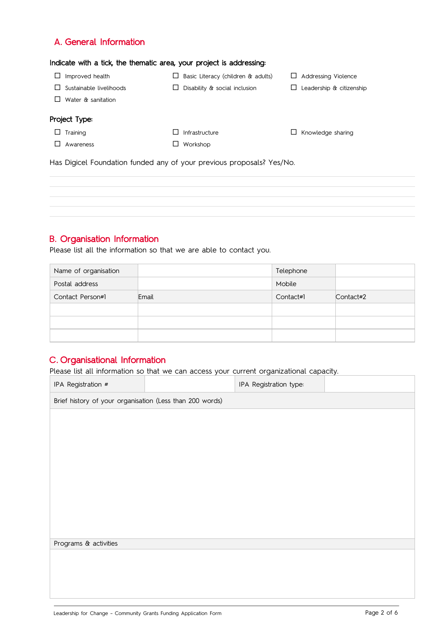## A. General Information

#### Indicate with a tick, the thematic area, your project is addressing:

| Improved health         | Basic Literacy (children & adults) | Addressing Violence<br>ப |
|-------------------------|------------------------------------|--------------------------|
| Sustainable livelihoods | Disability & social inclusion      | Leadership & citizenship |
| Water & sanitation      |                                    |                          |
| Project Type:           |                                    |                          |
| Training<br>LI          | Infrastructure                     | Knowledge sharing        |
| Awareness               | Workshop                           |                          |

Has Digicel Foundation funded any of your previous proposals? Yes/No.

## B. Organisation Information

Please list all the information so that we are able to contact you.

| Name of organisation |       | Telephone |           |
|----------------------|-------|-----------|-----------|
| Postal address       |       | Mobile    |           |
| Contact Person#1     | Email | Contact#1 | Contact#2 |
|                      |       |           |           |
|                      |       |           |           |
|                      |       |           |           |

# C. Organisational Information

Please list all information so that we can access your current organizational capacity.

| IPA Registration #                                       |  | IPA Registration type: |  |  |
|----------------------------------------------------------|--|------------------------|--|--|
| Brief history of your organisation (Less than 200 words) |  |                        |  |  |
|                                                          |  |                        |  |  |
|                                                          |  |                        |  |  |
|                                                          |  |                        |  |  |
|                                                          |  |                        |  |  |
|                                                          |  |                        |  |  |
|                                                          |  |                        |  |  |
|                                                          |  |                        |  |  |
|                                                          |  |                        |  |  |
| Programs & activities                                    |  |                        |  |  |
|                                                          |  |                        |  |  |
|                                                          |  |                        |  |  |
|                                                          |  |                        |  |  |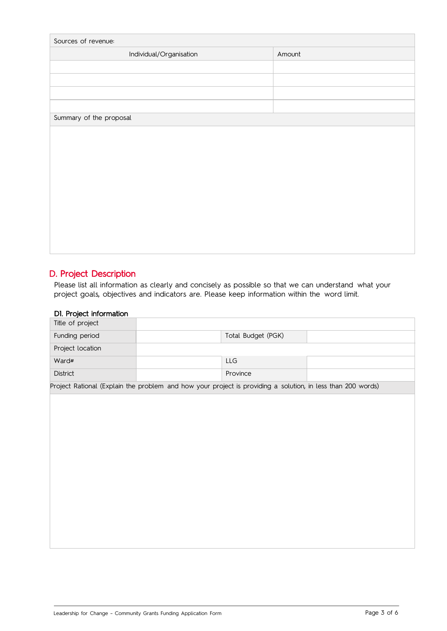| Sources of revenue:     |        |  |  |
|-------------------------|--------|--|--|
| Individual/Organisation | Amount |  |  |
|                         |        |  |  |
|                         |        |  |  |
|                         |        |  |  |
|                         |        |  |  |
| Summary of the proposal |        |  |  |
|                         |        |  |  |
|                         |        |  |  |
|                         |        |  |  |
|                         |        |  |  |
|                         |        |  |  |
|                         |        |  |  |
|                         |        |  |  |
|                         |        |  |  |
|                         |        |  |  |
|                         |        |  |  |

## D. Project Description

Please list all information as clearly and concisely as possible so that we can understand what your project goals, objectives and indicators are. Please keep information within the word limit.

#### D1. Project information

| =  = j= = =<br>Title of project |                                                                                                             |  |
|---------------------------------|-------------------------------------------------------------------------------------------------------------|--|
| Funding period                  | Total Budget (PGK)                                                                                          |  |
| Project location                |                                                                                                             |  |
| Ward#                           | LLG                                                                                                         |  |
| District                        | Province                                                                                                    |  |
|                                 | Project Rational (Explain the problem and how your project is providing a solution, in less than 200 words) |  |
|                                 |                                                                                                             |  |
|                                 |                                                                                                             |  |
|                                 |                                                                                                             |  |
|                                 |                                                                                                             |  |
|                                 |                                                                                                             |  |
|                                 |                                                                                                             |  |
|                                 |                                                                                                             |  |
|                                 |                                                                                                             |  |
|                                 |                                                                                                             |  |
|                                 |                                                                                                             |  |
|                                 |                                                                                                             |  |
|                                 |                                                                                                             |  |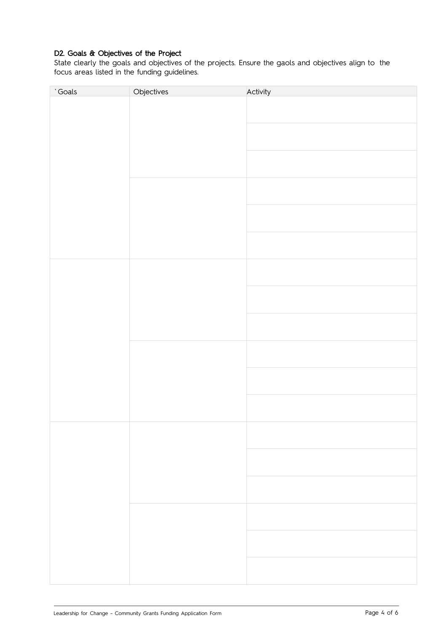### D2. Goals & Objectives of the Project

State clearly the goals and objectives of the projects. Ensure the gaols and objectives align to the focus areas listed in the funding guidelines.

| 'Goals | Objectives | Activity |
|--------|------------|----------|
|        |            |          |
|        |            |          |
|        |            |          |
|        |            |          |
|        |            |          |
|        |            |          |
|        |            |          |
|        |            |          |
|        |            |          |
|        |            |          |
|        |            |          |
|        |            |          |
|        |            |          |
|        |            |          |
|        |            |          |
|        |            |          |
|        |            |          |
|        |            |          |
|        |            |          |
|        |            |          |
|        |            |          |
|        |            |          |
|        |            |          |
|        |            |          |
|        |            |          |
|        |            |          |
|        |            |          |
|        |            |          |
|        |            |          |
|        |            |          |
|        |            |          |
|        |            |          |
|        |            |          |
|        |            |          |
|        |            |          |
|        |            |          |
|        |            |          |
|        |            |          |
|        |            |          |
|        |            |          |
|        |            |          |
|        |            |          |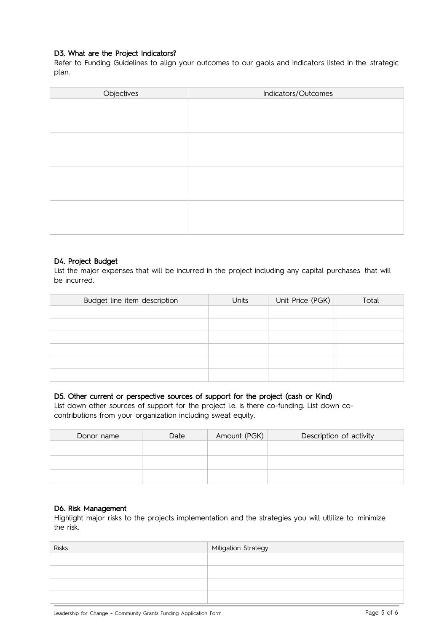#### D3. What are the Project Indicators?

Refer to Funding Guidelines to align your outcomes to our gaols and indicators listed in the strategic plan.

| Objectives | Indicators/Outcomes |
|------------|---------------------|
|            |                     |
|            |                     |
|            |                     |
|            |                     |
|            |                     |
|            |                     |
|            |                     |
|            |                     |
|            |                     |
|            |                     |
|            |                     |
|            |                     |

#### D4. Project Budget

List the major expenses that will be incurred in the project including any capital purchases that will be incurred.

| Budget line item description | Units | Unit Price (PGK) | Total |
|------------------------------|-------|------------------|-------|
|                              |       |                  |       |
|                              |       |                  |       |
|                              |       |                  |       |
|                              |       |                  |       |
|                              |       |                  |       |
|                              |       |                  |       |

#### D5. Other current or perspective sources of support for the project (cash or Kind)

List down other sources of support for the project i.e. is there co-funding. List down cocontributions from your organization including sweat equity.

| Donor name | Date | Amount (PGK) | Description of activity |
|------------|------|--------------|-------------------------|
|            |      |              |                         |
|            |      |              |                         |
|            |      |              |                         |

#### D6. Risk Management

Highlight major risks to the projects implementation and the strategies you will utlilize to minimize the risk.

| Risks | Mitigation Strategy |
|-------|---------------------|
|       |                     |
|       |                     |
|       |                     |
|       |                     |